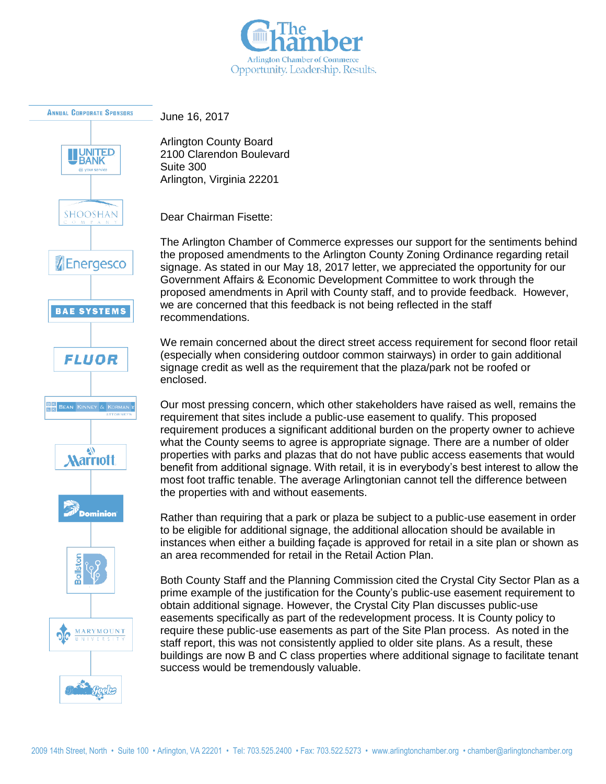



June 16, 2017

Arlington County Board 2100 Clarendon Boulevard Suite 300 Arlington, Virginia 22201

Dear Chairman Fisette:

The Arlington Chamber of Commerce expresses our support for the sentiments behind the proposed amendments to the Arlington County Zoning Ordinance regarding retail signage. As stated in our May 18, 2017 letter, we appreciated the opportunity for our Government Affairs & Economic Development Committee to work through the proposed amendments in April with County staff, and to provide feedback. However, we are concerned that this feedback is not being reflected in the staff recommendations.

We remain concerned about the direct street access requirement for second floor retail (especially when considering outdoor common stairways) in order to gain additional signage credit as well as the requirement that the plaza/park not be roofed or enclosed.

Our most pressing concern, which other stakeholders have raised as well, remains the requirement that sites include a public-use easement to qualify. This proposed requirement produces a significant additional burden on the property owner to achieve what the County seems to agree is appropriate signage. There are a number of older properties with parks and plazas that do not have public access easements that would benefit from additional signage. With retail, it is in everybody's best interest to allow the most foot traffic tenable. The average Arlingtonian cannot tell the difference between the properties with and without easements.

Rather than requiring that a park or plaza be subject to a public-use easement in order to be eligible for additional signage, the additional allocation should be available in instances when either a building façade is approved for retail in a site plan or shown as an area recommended for retail in the Retail Action Plan.

Both County Staff and the Planning Commission cited the Crystal City Sector Plan as a prime example of the justification for the County's public-use easement requirement to obtain additional signage. However, the Crystal City Plan discusses public-use easements specifically as part of the redevelopment process. It is County policy to require these public-use easements as part of the Site Plan process. As noted in the staff report, this was not consistently applied to older site plans. As a result, these buildings are now B and C class properties where additional signage to facilitate tenant success would be tremendously valuable.